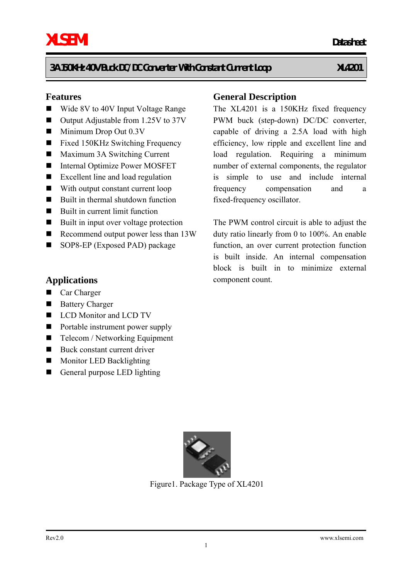#### **Features**

- Wide 8V to 40V Input Voltage Range
- Output Adjustable from 1.25V to 37V
- $\blacksquare$  Minimum Drop Out 0.3V
- Fixed 150KHz Switching Frequency
- Maximum 3A Switching Current
- Internal Optimize Power MOSFET
- Excellent line and load regulation
- With output constant current loop
- Built in thermal shutdown function
- Built in current limit function
- Built in input over voltage protection
- Recommend output power less than 13W
- SOP8-EP (Exposed PAD) package

#### **Applications**

- Car Charger
- Battery Charger
- LCD Monitor and LCD TV
- Portable instrument power supply
- Telecom / Networking Equipment
- $\blacksquare$  Buck constant current driver
- **Monitor LED Backlighting**
- General purpose LED lighting



Figure1. Package Type of XL4201

1

### **General Description**

The XL4201 is a 150KHz fixed frequency PWM buck (step-down) DC/DC converter, capable of driving a 2.5A load with high efficiency, low ripple and excellent line and load regulation. Requiring a minimum number of external components, the regulator is simple to use and include internal frequency compensation and a fixed-frequency oscillator.

The PWM control circuit is able to adjust the duty ratio linearly from 0 to 100%. An enable function, an over current protection function is built inside. An internal compensation block is built in to minimize external component count.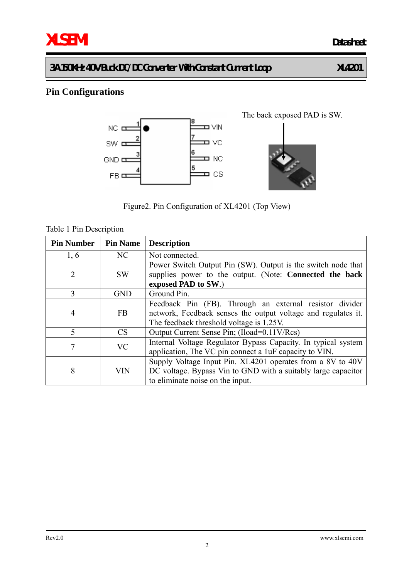# **Pin Configurations**



Figure2. Pin Configuration of XL4201 (Top View)

| <b>Pin Number</b> | <b>Pin Name</b> | <b>Description</b>                                                                                                                                                   |
|-------------------|-----------------|----------------------------------------------------------------------------------------------------------------------------------------------------------------------|
| 1,6               | NC              | Not connected.                                                                                                                                                       |
| $\overline{2}$    | <b>SW</b>       | Power Switch Output Pin (SW). Output is the switch node that<br>supplies power to the output. (Note: Connected the back<br>exposed PAD to SW.)                       |
| 3                 | <b>GND</b>      | Ground Pin.                                                                                                                                                          |
| $\overline{4}$    | <b>FB</b>       | Feedback Pin (FB). Through an external resistor divider<br>network, Feedback senses the output voltage and regulates it.<br>The feedback threshold voltage is 1.25V. |
| 5                 | <b>CS</b>       | Output Current Sense Pin; (Iload=0.11V/Rcs)                                                                                                                          |
| 7                 | <b>VC</b>       | Internal Voltage Regulator Bypass Capacity. In typical system<br>application, The VC pin connect a 1uF capacity to VIN.                                              |
| 8                 | VIN             | Supply Voltage Input Pin. XL4201 operates from a 8V to 40V<br>DC voltage. Bypass Vin to GND with a suitably large capacitor<br>to eliminate noise on the input.      |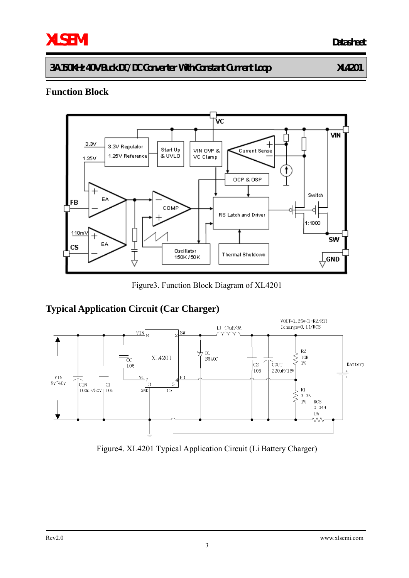# **XLSEMI Datasheet**

**3A 150KHz 40V Buck DC/DC Converter With Constant Current Loop XL4201** 

## **Function Block**



Figure3. Function Block Diagram of XL4201

# **Typical Application Circuit (Car Charger)**



Figure4. XL4201 Typical Application Circuit (Li Battery Charger)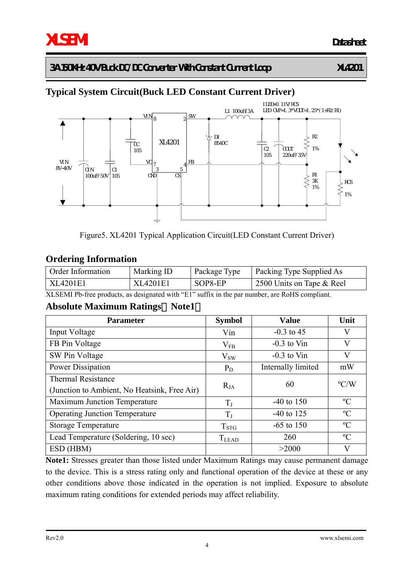# **Typical System Circuit(Buck LED Constant Current Driver)**



Figure5. XL4201 Typical Application Circuit(LED Constant Current Driver)

## **Ordering Information**

| Order Information | Marking ID | Package Type | Packing Type Supplied As  |
|-------------------|------------|--------------|---------------------------|
| XL4201E1          | XL4201E1   | SOP8-EP      | 2500 Units on Tape & Reel |

XLSEMI Pb-free products, as designated with "E1" suffix in the par number, are RoHS compliant.

#### **Absolute Maximum Ratings**(**Note1**)

| <b>Parameter</b>                             | <b>Symbol</b> | <b>Value</b>       | Unit          |
|----------------------------------------------|---------------|--------------------|---------------|
| Input Voltage                                | Vin           | $-0.3$ to 45       | V             |
| FB Pin Voltage                               | $V_{FB}$      | $-0.3$ to Vin      | V             |
| SW Pin Voltage                               | $V_{SW}$      | $-0.3$ to Vin      | V             |
| Power Dissipation                            | $P_D$         | Internally limited | mW            |
| <b>Thermal Resistance</b>                    |               | 60                 | $\rm ^{o}C/W$ |
| (Junction to Ambient, No Heatsink, Free Air) | $R_{JA}$      |                    |               |
| <b>Maximum Junction Temperature</b>          | $T_{I}$       | $-40$ to 150       | $\rm ^{o}C$   |
| <b>Operating Junction Temperature</b>        | $T_{J}$       | $-40$ to 125       | $\rm ^{o}C$   |
| <b>Storage Temperature</b>                   | $T_{\rm STG}$ | $-65$ to 150       | $\rm ^{o}C$   |
| Lead Temperature (Soldering, 10 sec)         | $T_{LEAD}$    | 260                | $\rm ^{o}C$   |
| ESD (HBM)                                    |               | >2000              | V             |

**Note1:** Stresses greater than those listed under Maximum Ratings may cause permanent damage to the device. This is a stress rating only and functional operation of the device at these or any other conditions above those indicated in the operation is not implied. Exposure to absolute maximum rating conditions for extended periods may affect reliability.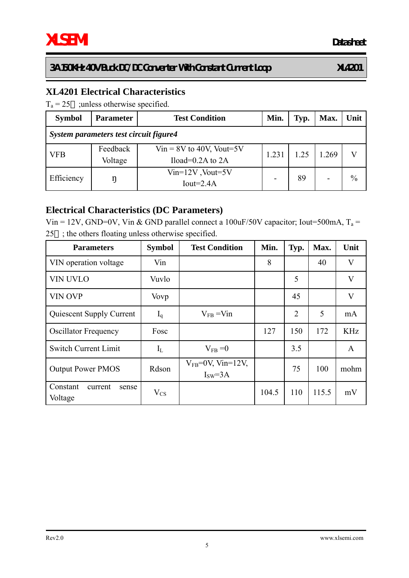# **XL4201 Electrical Characteristics**

 $T_a = 25$  ; unless otherwise specified.

| <b>Symbol</b>                          | <b>Parameter</b>    | <b>Test Condition</b>                               | Min.  | Typ. | Max. | Unit          |  |
|----------------------------------------|---------------------|-----------------------------------------------------|-------|------|------|---------------|--|
| System parameters test circuit figure4 |                     |                                                     |       |      |      |               |  |
| <b>VFB</b>                             | Feedback<br>Voltage | $Vir = 8V$ to 40V, Vout=5V<br>Iload= $0.2A$ to $2A$ | 1.231 | 1.25 | .269 |               |  |
| Efficiency                             | ŋ                   | $Vin=12V$ , Vout=5V<br>Iout= $2.4A$                 |       | 89   |      | $\frac{0}{0}$ |  |

# **Electrical Characteristics (DC Parameters)**

Vin = 12V, GND=0V, Vin & GND parallel connect a 100uF/50V capacitor; Iout=500mA,  $T_a$  = 25 ; the others floating unless otherwise specified.

| <b>Parameters</b>                       | <b>Symbol</b> | <b>Test Condition</b>              | Min.  | Typ. | Max.  | Unit                    |
|-----------------------------------------|---------------|------------------------------------|-------|------|-------|-------------------------|
| VIN operation voltage                   | Vin           |                                    | 8     |      | 40    | V                       |
| <b>VIN UVLO</b>                         | Vuvlo         |                                    |       | 5    |       | $\overline{\mathsf{V}}$ |
| <b>VIN OVP</b>                          | Vovp          |                                    |       | 45   |       | $\overline{\mathsf{V}}$ |
| Quiescent Supply Current                | $I_q$         | $V_{FB} = V_{1n}$                  |       | 2    | 5     | mA                      |
| <b>Oscillator Frequency</b>             | Fosc          |                                    | 127   | 150  | 172   | <b>KHz</b>              |
| <b>Switch Current Limit</b>             | $I_{L}$       | $V_{FB} = 0$                       |       | 3.5  |       | $\mathsf{A}$            |
| <b>Output Power PMOS</b>                | Rdson         | $V_{FB}$ =0V, Vin=12V,<br>$ISW=3A$ |       | 75   | 100   | mohm                    |
| Constant<br>current<br>sense<br>Voltage | $V_{CS}$      |                                    | 104.5 | 110  | 115.5 | mV                      |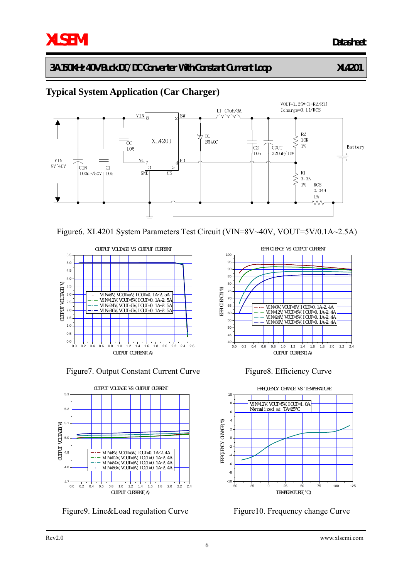# **XLSEMI Datasheet**

# **3A 150KHz 40V Buck DC/DC Converter With Constant Current Loop XL4201**

# **Typical System Application (Car Charger)**







Figure 7. Output Constant Current Curve Figure 8. Efficiency Curve



Figure9. Line&Load regulation Curve Figure10. Frequency change Curve







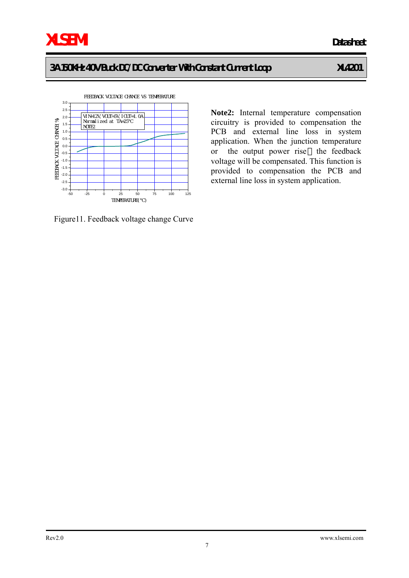-50 -25 0 25 50 75 100 125  $-3.0 -$ -2.5 -2.0 -1.5 -1.0 -0.5 0.0 0.5 1.0 1.5 2.0  $2.5 3.0 -$ FEEDBACK VOLTAGE CHANGE VS TEMPERATURE FEEDBACK VOLTAGE CHANGE(%) TEMPERATURE()  $\overline{V}$  VI N=12V,  $\overline{V}$  VOUT=5V, I CUT=1, OA Normalized at TA=25℃ NOTE2

Figure11. Feedback voltage change Curve

**Note2:** Internal temperature compensation circuitry is provided to compensation the PCB and external line loss in system

application. When the junction temperature or the output power rise the feedback voltage will be compensated. This function is provided to compensation the PCB and external line loss in system application.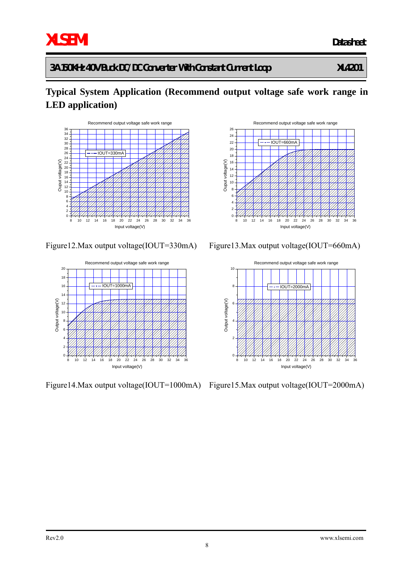# **XLSEMI Datasheet**

# **3A 150KHz 40V Buck DC/DC Converter With Constant Current Loop XL4201**

# **Typical System Application (Recommend output voltage safe work range in LED application)**











Figure14.Max output voltage(IOUT=1000mA) Figure15.Max output voltage(IOUT=2000mA)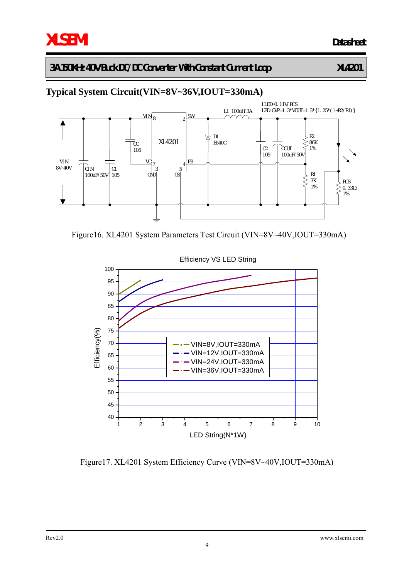# **Typical System Circuit(VIN=8V~36V,IOUT=330mA)**



Figure16. XL4201 System Parameters Test Circuit (VIN=8V~40V,IOUT=330mA)



Figure17. XL4201 System Efficiency Curve (VIN=8V~40V,IOUT=330mA)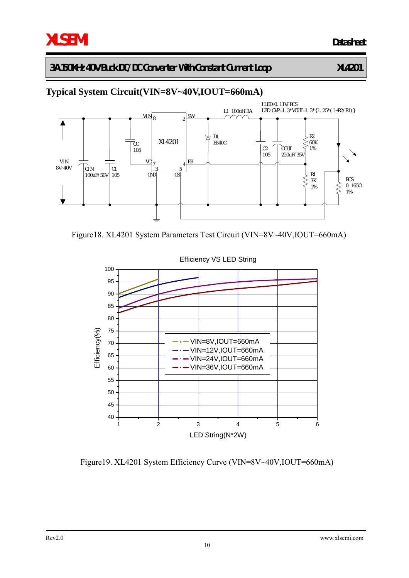# **Typical System Circuit(VIN=8V~40V,IOUT=660mA)**



Figure18. XL4201 System Parameters Test Circuit (VIN=8V~40V,IOUT=660mA)



Efficiency VS LED String

Figure19. XL4201 System Efficiency Curve (VIN=8V~40V,IOUT=660mA)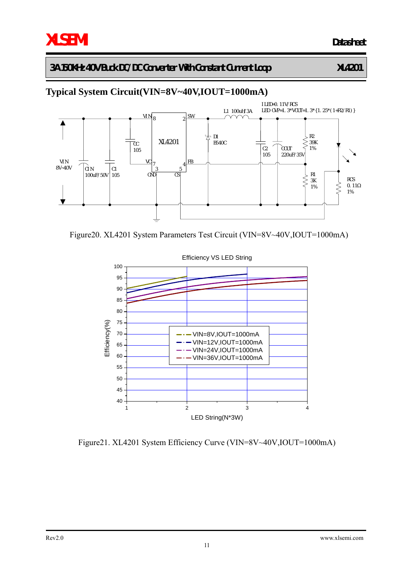# **Typical System Circuit(VIN=8V~40V,IOUT=1000mA)**



Figure20. XL4201 System Parameters Test Circuit (VIN=8V~40V,IOUT=1000mA)



Figure21. XL4201 System Efficiency Curve (VIN=8V~40V,IOUT=1000mA)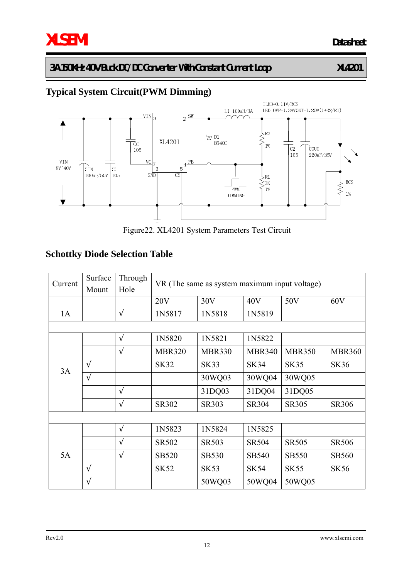# **Typical System Circuit(PWM Dimming)**



Figure22. XL4201 System Parameters Test Circuit

# **Schottky Diode Selection Table**

| Current | Surface<br>Mount | Through<br>Hole | VR (The same as system maximum input voltage) |               |               |               |               |
|---------|------------------|-----------------|-----------------------------------------------|---------------|---------------|---------------|---------------|
|         |                  |                 | 20V                                           | 30V           | 40V           | 50V           | 60V           |
| 1A      |                  |                 | 1N5817                                        | 1N5818        | 1N5819        |               |               |
|         |                  |                 |                                               |               |               |               |               |
|         |                  |                 | 1N5820                                        | 1N5821        | 1N5822        |               |               |
| 3A      |                  |                 | <b>MBR320</b>                                 | <b>MBR330</b> | <b>MBR340</b> | <b>MBR350</b> | <b>MBR360</b> |
|         |                  |                 | <b>SK32</b>                                   | <b>SK33</b>   | <b>SK34</b>   | <b>SK35</b>   | <b>SK36</b>   |
|         |                  |                 |                                               | 30WQ03        | 30WQ04        | 30WQ05        |               |
|         |                  |                 |                                               | 31DQ03        | 31DQ04        | 31DQ05        |               |
|         |                  |                 | SR302                                         | SR303         | SR304         | SR305         | SR306         |
|         |                  |                 |                                               |               |               |               |               |
|         |                  |                 | 1N5823                                        | 1N5824        | 1N5825        |               |               |
| 5A      |                  |                 | SR502                                         | <b>SR503</b>  | <b>SR504</b>  | <b>SR505</b>  | <b>SR506</b>  |
|         |                  |                 | <b>SB520</b>                                  | <b>SB530</b>  | <b>SB540</b>  | <b>SB550</b>  | <b>SB560</b>  |
|         |                  |                 | <b>SK52</b>                                   | <b>SK53</b>   | <b>SK54</b>   | <b>SK55</b>   | <b>SK56</b>   |
|         |                  |                 |                                               | 50WQ03        | 50WQ04        | 50WQ05        |               |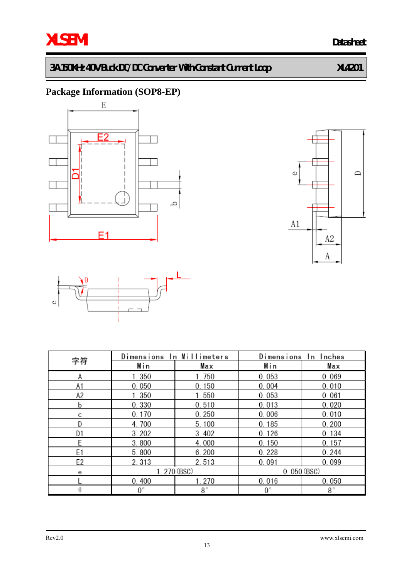# **Package Information (SOP8-EP)**







|                | Dimensions In Millimeters |           | Dimensions In Inches |           |  |
|----------------|---------------------------|-----------|----------------------|-----------|--|
| 字符             | Min                       | Max       | Min                  | Max       |  |
| Α              | 1.350                     | 1.750     | 0.053                | 0.069     |  |
| A1             | 0.050                     | 0.150     | 0.004                | 0.010     |  |
| A2             | 1.350                     | 1.550     | 0.053                | 0.061     |  |
| b              | 0.330                     | 0.510     | 0.013                | 0.020     |  |
| С              | 0.170                     | 0.250     | 0.006                | 0.010     |  |
| D              | 4.700                     | 5.100     | 0.185                | 0.200     |  |
| D1             | 3.202                     | 3.402     | 0.126                | 0.134     |  |
| E              | 3.800                     | 4.000     | 0.150                | 0.157     |  |
| E <sub>1</sub> | 5.800                     | 6.200     | 0.228                | 0.244     |  |
| E2             | 2.313                     | 2.513     | 0.091                | 0.099     |  |
| е              | 1.270 (BSC)               |           | 0.050(BSC)           |           |  |
|                | 0.400                     | 1.270     | 0.016                | 0.050     |  |
| θ              | $0^{\circ}$               | $8^\circ$ | $0^{\circ}$          | $8^\circ$ |  |

#### Rev2.0 www.xlsemi.com